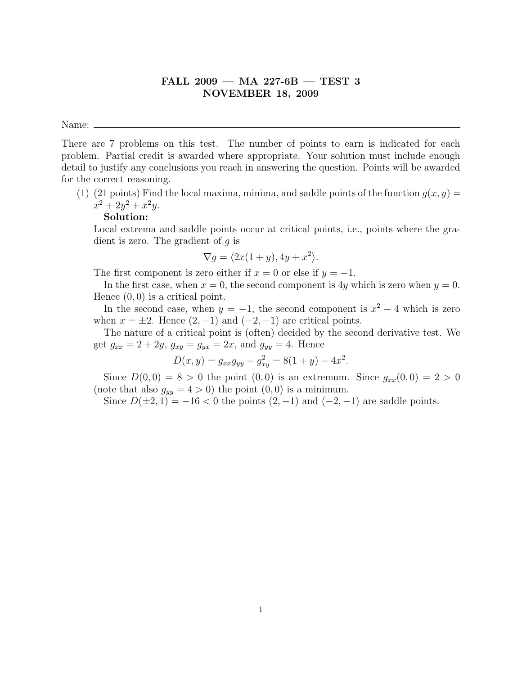# FALL 2009 — MA 227-6B — TEST 3 NOVEMBER 18, 2009

Name:

There are 7 problems on this test. The number of points to earn is indicated for each problem. Partial credit is awarded where appropriate. Your solution must include enough detail to justify any conclusions you reach in answering the question. Points will be awarded for the correct reasoning.

(1) (21 points) Find the local maxima, minima, and saddle points of the function  $g(x, y) =$  $x^2 + 2y^2 + x^2y.$ 

## Solution:

Local extrema and saddle points occur at critical points, i.e., points where the gradient is zero. The gradient of  $q$  is

$$
\nabla g = \langle 2x(1+y), 4y + x^2 \rangle.
$$

The first component is zero either if  $x = 0$  or else if  $y = -1$ .

In the first case, when  $x = 0$ , the second component is 4y which is zero when  $y = 0$ . Hence  $(0, 0)$  is a critical point.

In the second case, when  $y = -1$ , the second component is  $x^2 - 4$  which is zero when  $x = \pm 2$ . Hence  $(2, -1)$  and  $(-2, -1)$  are critical points.

The nature of a critical point is (often) decided by the second derivative test. We get  $g_{xx} = 2 + 2y$ ,  $g_{xy} = g_{yx} = 2x$ , and  $g_{yy} = 4$ . Hence

$$
D(x, y) = g_{xx}g_{yy} - g_{xy}^2 = 8(1 + y) - 4x^2.
$$

Since  $D(0,0) = 8 > 0$  the point  $(0,0)$  is an extremum. Since  $g_{xx}(0,0) = 2 > 0$ (note that also  $g_{yy} = 4 > 0$ ) the point  $(0, 0)$  is a minimum.

Since  $D(\pm 2, 1) = -16 < 0$  the points  $(2, -1)$  and  $(-2, -1)$  are saddle points.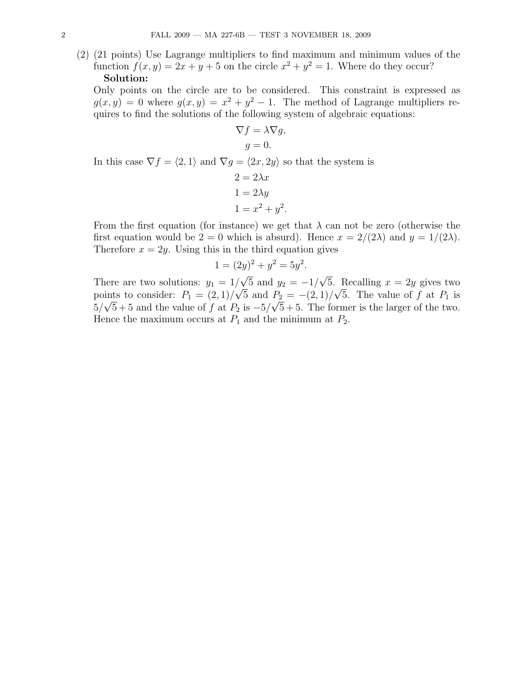(2) (21 points) Use Lagrange multipliers to find maximum and minimum values of the function  $f(x, y) = 2x + y + 5$  on the circle  $x^2 + y^2 = 1$ . Where do they occur?

### Solution:

Only points on the circle are to be considered. This constraint is expressed as  $g(x, y) = 0$  where  $g(x, y) = x^2 + y^2 - 1$ . The method of Lagrange multipliers requires to find the solutions of the following system of algebraic equations:

$$
\nabla f = \lambda \nabla g,
$$
  

$$
g = 0.
$$

In this case  $\nabla f = \langle 2, 1 \rangle$  and  $\nabla g = \langle 2x, 2y \rangle$  so that the system is

$$
2 = 2\lambda x
$$

$$
1 = 2\lambda y
$$

$$
1 = x^2 + y^2.
$$

From the first equation (for instance) we get that  $\lambda$  can not be zero (otherwise the first equation would be  $2 = 0$  which is absurd). Hence  $x = 2/(2\lambda)$  and  $y = 1/(2\lambda)$ . Therefore  $x = 2y$ . Using this in the third equation gives

$$
1 = (2y)^2 + y^2 = 5y^2.
$$

There are two solutions:  $y_1 = 1/$ 5 and  $y_2 = -1/$ √  $\sqrt{5}$  and  $y_2 = -1/\sqrt{5}$ . Recalling  $x = 2y$  gives two points to consider:  $P_1 = (2, 1)/\sqrt{5}$  and  $P_2 = -(2, 1)/\sqrt{5}$ . The value of f at  $P_1$  is  $5/\sqrt{5}+5$  and the value of f at  $P_2$  is  $-5/\sqrt{5}+5$ . The former is the larger of the two. Hence the maximum occurs at  $P_1$  and the minimum at  $P_2$ .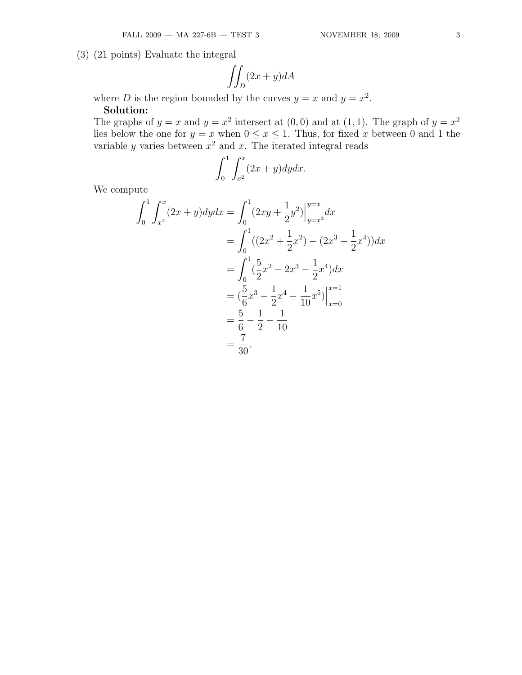(3) (21 points) Evaluate the integral

$$
\iint_D (2x+y)dA
$$

where D is the region bounded by the curves  $y = x$  and  $y = x^2$ .

## Solution:

The graphs of  $y = x$  and  $y = x^2$  intersect at  $(0,0)$  and at  $(1,1)$ . The graph of  $y = x^2$ lies below the one for  $y = x$  when  $0 \le x \le 1$ . Thus, for fixed x between 0 and 1 the variable y varies between  $x^2$  and x. The iterated integral reads

$$
\int_0^1 \int_{x^2}^x (2x+y) dy dx.
$$

We compute

$$
\int_{0}^{1} \int_{x^{2}}^{x} (2x + y) dy dx = \int_{0}^{1} (2xy + \frac{1}{2}y^{2}) \Big|_{y=x^{2}}^{y=x} dx
$$
  
= 
$$
\int_{0}^{1} ((2x^{2} + \frac{1}{2}x^{2}) - (2x^{3} + \frac{1}{2}x^{4})) dx
$$
  
= 
$$
\int_{0}^{1} (\frac{5}{2}x^{2} - 2x^{3} - \frac{1}{2}x^{4}) dx
$$
  
= 
$$
(\frac{5}{6}x^{3} - \frac{1}{2}x^{4} - \frac{1}{10}x^{5}) \Big|_{x=0}^{x=1}
$$
  
= 
$$
\frac{5}{6} - \frac{1}{2} - \frac{1}{10}
$$
  
= 
$$
\frac{7}{30}.
$$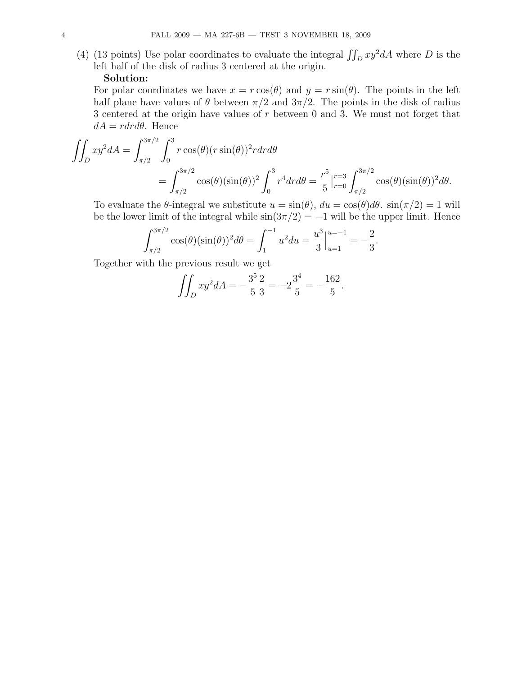(4) (13 points) Use polar coordinates to evaluate the integral  $\iint_D xy^2 dA$  where D is the left half of the disk of radius 3 centered at the origin.

#### Solution:

For polar coordinates we have  $x = r \cos(\theta)$  and  $y = r \sin(\theta)$ . The points in the left half plane have values of  $\theta$  between  $\pi/2$  and  $3\pi/2$ . The points in the disk of radius 3 centered at the origin have values of r between 0 and 3. We must not forget that  $dA = rdr d\theta$ . Hence

$$
\iint_D xy^2 dA = \int_{\pi/2}^{3\pi/2} \int_0^3 r \cos(\theta) (r \sin(\theta))^2 r dr d\theta
$$
  
= 
$$
\int_{\pi/2}^{3\pi/2} \cos(\theta) (\sin(\theta))^2 \int_0^3 r^4 dr d\theta = \frac{r^5}{5} \Big|_{r=0}^{r=3} \int_{\pi/2}^{3\pi/2} \cos(\theta) (\sin(\theta))^2 d\theta.
$$

To evaluate the  $\theta$ -integral we substitute  $u = \sin(\theta)$ ,  $du = \cos(\theta)d\theta$ .  $\sin(\pi/2) = 1$  will be the lower limit of the integral while  $\sin(3\pi/2) = -1$  will be the upper limit. Hence

$$
\int_{\pi/2}^{3\pi/2} \cos(\theta)(\sin(\theta))^2 d\theta = \int_1^{-1} u^2 du = \frac{u^3}{3} \Big|_{u=1}^{u=-1} = -\frac{2}{3}.
$$

Together with the previous result we get

$$
\iint_D xy^2 dA = -\frac{3^5}{5} \frac{2}{3} = -2\frac{3^4}{5} = -\frac{162}{5}.
$$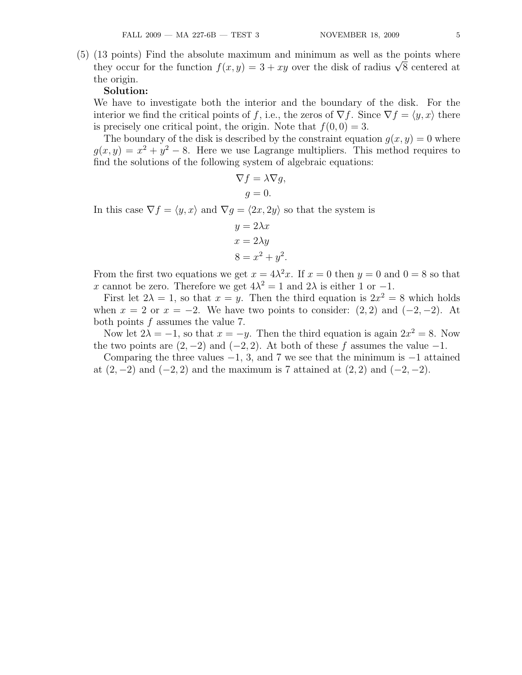(5) (13 points) Find the absolute maximum and minimum as well as the points where (13 points) Find the absolute maximum and minimum as well as the points where<br>they occur for the function  $f(x, y) = 3 + xy$  over the disk of radius  $\sqrt{8}$  centered at the origin.

#### Solution:

We have to investigate both the interior and the boundary of the disk. For the interior we find the critical points of f, i.e., the zeros of  $\nabla f$ . Since  $\nabla f = \langle y, x \rangle$  there is precisely one critical point, the origin. Note that  $f(0, 0) = 3$ .

The boundary of the disk is described by the constraint equation  $g(x, y) = 0$  where  $g(x, y) = x^2 + y^2 - 8$ . Here we use Lagrange multipliers. This method requires to find the solutions of the following system of algebraic equations:

$$
\nabla f = \lambda \nabla g,
$$
  

$$
g = 0.
$$

In this case  $\nabla f = \langle y, x \rangle$  and  $\nabla g = \langle 2x, 2y \rangle$  so that the system is

$$
y = 2\lambda x
$$

$$
x = 2\lambda y
$$

$$
8 = x^2 + y^2.
$$

From the first two equations we get  $x = 4\lambda^2 x$ . If  $x = 0$  then  $y = 0$  and  $0 = 8$  so that x cannot be zero. Therefore we get  $4\lambda^2 = 1$  and  $2\lambda$  is either 1 or -1.

First let  $2\lambda = 1$ , so that  $x = y$ . Then the third equation is  $2x^2 = 8$  which holds when  $x = 2$  or  $x = -2$ . We have two points to consider:  $(2, 2)$  and  $(-2, -2)$ . At both points f assumes the value 7.

Now let  $2\lambda = -1$ , so that  $x = -y$ . Then the third equation is again  $2x^2 = 8$ . Now the two points are  $(2, -2)$  and  $(-2, 2)$ . At both of these f assumes the value  $-1$ .

Comparing the three values  $-1$ , 3, and 7 we see that the minimum is  $-1$  attained at  $(2, -2)$  and  $(-2, 2)$  and the maximum is 7 attained at  $(2, 2)$  and  $(-2, -2)$ .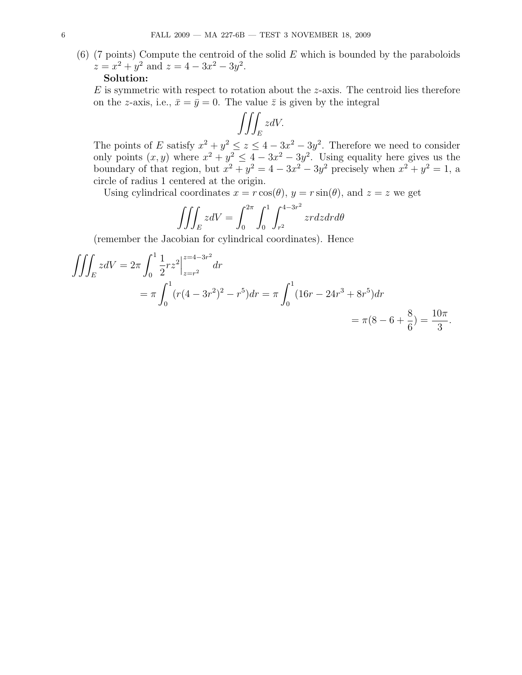$(6)$  (7 points) Compute the centroid of the solid E which is bounded by the paraboloids  $z = x^2 + y^2$  and  $z = 4 - 3x^2 - 3y^2$ .

#### Solution:

 $E$  is symmetric with respect to rotation about the  $z$ -axis. The centroid lies therefore on the z-axis, i.e.,  $\bar{x} = \bar{y} = 0$ . The value  $\bar{z}$  is given by the integral

$$
\iiint_E zdV.
$$

The points of E satisfy  $x^2 + y^2 \le z \le 4 - 3x^2 - 3y^2$ . Therefore we need to consider only points  $(x, y)$  where  $x^2 + y^2 \le 4 - 3x^2 - 3y^2$ . Using equality here gives us the boundary of that region, but  $x^2 + y^2 = 4 - 3x^2 - 3y^2$  precisely when  $x^2 + y^2 = 1$ , a circle of radius 1 centered at the origin.

Using cylindrical coordinates  $x = r \cos(\theta)$ ,  $y = r \sin(\theta)$ , and  $z = z$  we get

$$
\iiint_E z dV = \int_0^{2\pi} \int_0^1 \int_{r^2}^{4-3r^2} zr dz dr d\theta
$$

(remember the Jacobian for cylindrical coordinates). Hence

$$
\iiint_E z dV = 2\pi \int_0^1 \frac{1}{2} r z^2 \Big|_{z=r^2}^{z=4-3r^2} dr
$$
  
=  $\pi \int_0^1 (r(4-3r^2)^2 - r^5) dr = \pi \int_0^1 (16r - 24r^3 + 8r^5) dr$   
=  $\pi (8 - 6 + \frac{8}{6}) = \frac{10\pi}{3}.$